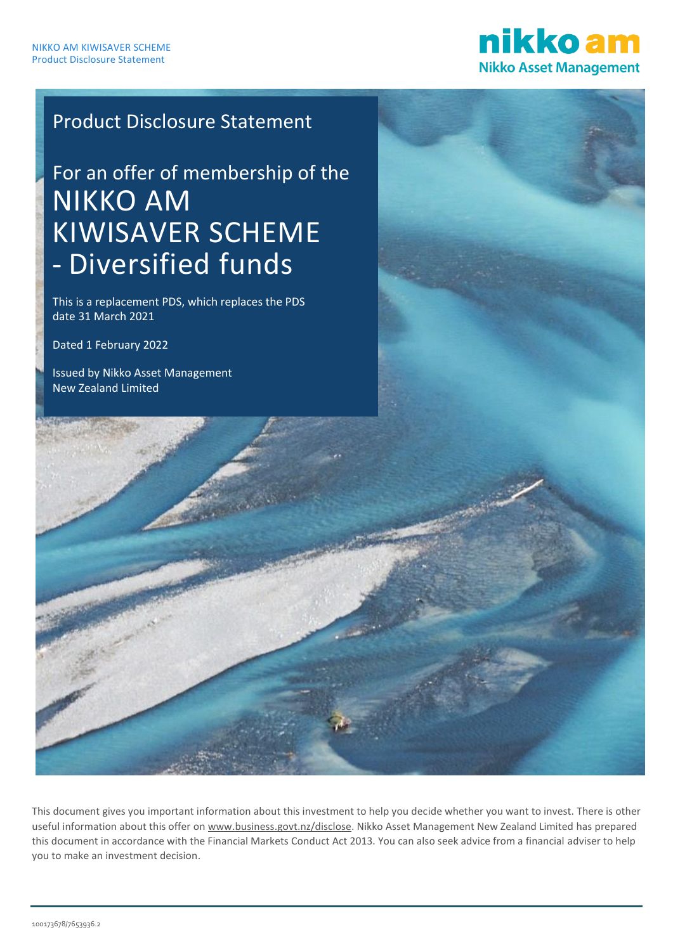

# Product Disclosure Statement

# For an offer of membership of the NIKKO AM KIWISAVER SCHEME - Diversified funds

This is a replacement PDS, which replaces the PDS date 31 March 2021

Dated 1 February 2022

Issued by Nikko Asset Management New Zealand Limited

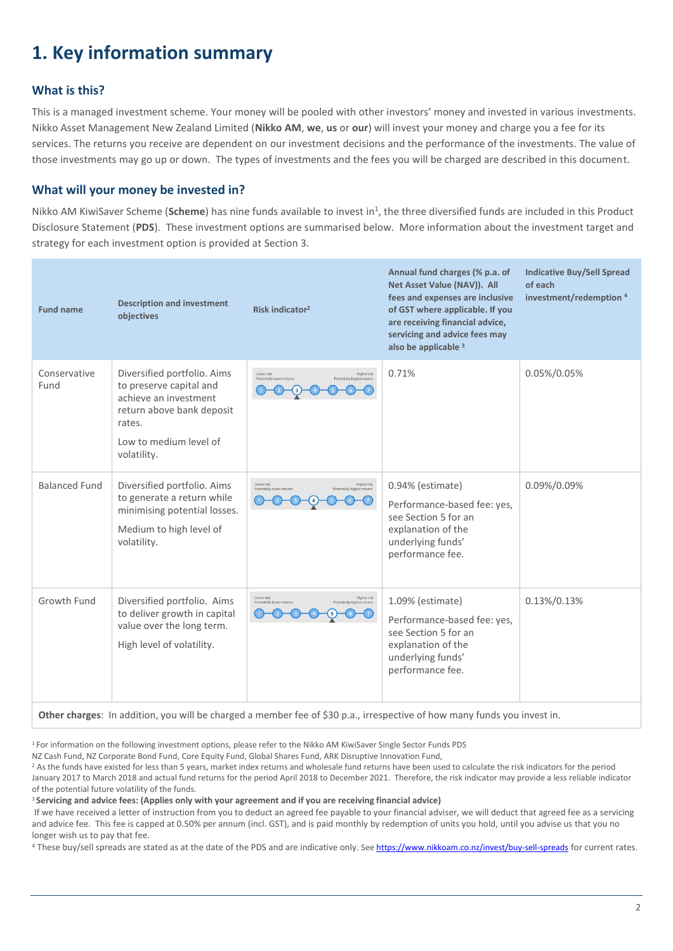# <span id="page-1-0"></span>**1. Key information summary**

### **What is this?**

This is a managed investment scheme. Your money will be pooled with other investors' money and invested in various investments. Nikko Asset Management New Zealand Limited (**Nikko AM**, **we**, **us** or **our**) will invest your money and charge you a fee for its services. The returns you receive are dependent on our investment decisions and the performance of the investments. The value of those investments may go up or down. The types of investments and the fees you will be charged are described in this document.

### **What will your money be invested in?**

Nikko AM KiwiSaver Scheme (Scheme) has nine funds available to invest in<sup>1</sup>, the three diversified funds are included in this Product Disclosure Statement (**PDS**). These investment options are summarised below. More information about the investment target and strategy for each investment option is provided at Section 3.

| <b>Fund name</b>     | <b>Description and investment</b><br>objectives                                                                                                                 | Risk indicator <sup>2</sup>                                                                 | Annual fund charges (% p.a. of<br>Net Asset Value (NAV)). All<br>fees and expenses are inclusive<br>of GST where applicable. If you<br>are receiving financial advice,<br>servicing and advice fees may<br>also be applicable 3 | <b>Indicative Buy/Sell Spread</b><br>of each<br>investment/redemption <sup>4</sup> |
|----------------------|-----------------------------------------------------------------------------------------------------------------------------------------------------------------|---------------------------------------------------------------------------------------------|---------------------------------------------------------------------------------------------------------------------------------------------------------------------------------------------------------------------------------|------------------------------------------------------------------------------------|
| Conservative<br>Fund | Diversified portfolio. Aims<br>to preserve capital and<br>achieve an investment<br>return above bank deposit<br>rates.<br>Low to medium level of<br>volatility. | Lower risk<br><b>Higher risk</b><br>Potentially lower returns<br>Potentially higher returns | 0.71%                                                                                                                                                                                                                           | 0.05%/0.05%                                                                        |
| <b>Balanced Fund</b> | Diversified portfolio. Aims<br>to generate a return while<br>minimising potential losses.<br>Medium to high level of<br>volatility.                             | Lower risk<br><b>Higher risk</b><br>Potentially higher returns<br>Potentially Inwer return  | 0.94% (estimate)<br>Performance-based fee: yes,<br>see Section 5 for an<br>explanation of the<br>underlying funds'<br>performance fee.                                                                                          | 0.09%/0.09%                                                                        |
| Growth Fund          | Diversified portfolio. Aims<br>to deliver growth in capital<br>value over the long term.<br>High level of volatility.                                           | Higher risk<br>Lower risk<br>Potentially lower returns<br>Potentially higher returns        | 1.09% (estimate)<br>Performance-based fee: yes,<br>see Section 5 for an<br>explanation of the<br>underlying funds'<br>performance fee.                                                                                          | 0.13%/0.13%                                                                        |
|                      |                                                                                                                                                                 |                                                                                             |                                                                                                                                                                                                                                 |                                                                                    |

**Other charges**: In addition, you will be charged a member fee of \$30 p.a., irrespective of how many funds you invest in.

<sup>1</sup> For information on the following investment options, please refer to the Nikko AM KiwiSaver Single Sector Funds PDS

NZ Cash Fund, NZ Corporate Bond Fund, Core Equity Fund, Global Shares Fund, ARK Disruptive Innovation Fund,

<sup>2</sup> As the funds have existed for less than 5 years, market index returns and wholesale fund returns have been used to calculate the risk indicators for the period January 2017 to March 2018 and actual fund returns for the period April 2018 to December 2021. Therefore, the risk indicator may provide a less reliable indicator of the potential future volatility of the funds.

<sup>3</sup> **Servicing and advice fees: (Applies only with your agreement and if you are receiving financial advice)** 

If we have received a letter of instruction from you to deduct an agreed fee payable to your financial adviser, we will deduct that agreed fee as a servicing and advice fee. This fee is capped at 0.50% per annum (incl. GST), and is paid monthly by redemption of units you hold, until you advise us that you no longer wish us to pay that fee.

4 These buy/sell spreads are stated as at the date of the PDS and are indicative only. See <https://www.nikkoam.co.nz/invest/buy-sell-spreads> for current rates.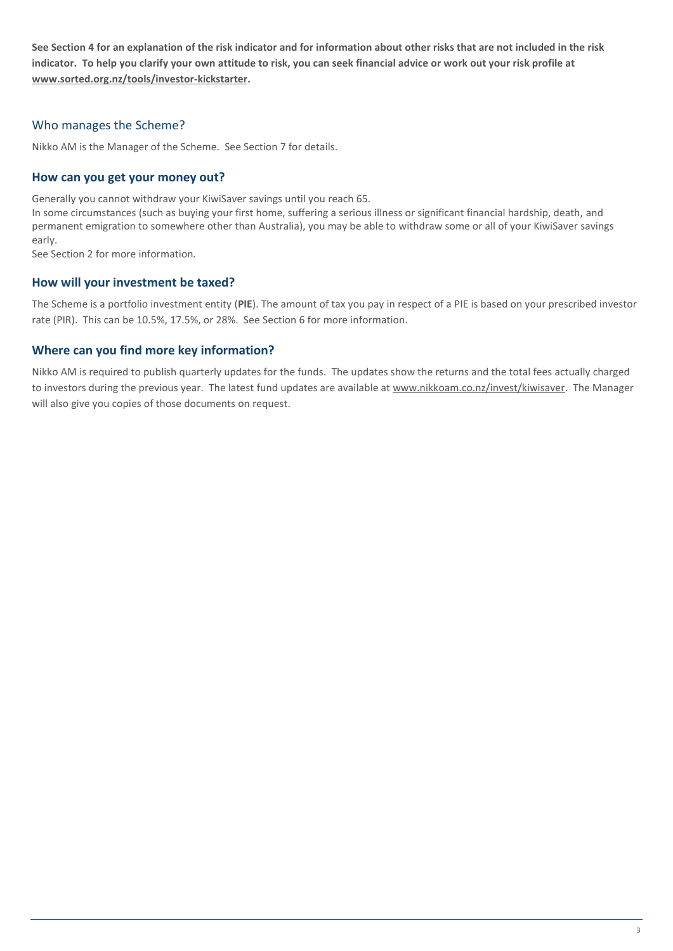**See Section 4 for an explanation of the risk indicator and for information about other risks that are not included in the risk indicator. To help you clarify your own attitude to risk, you can seek financial advice or work out your risk profile at www.sorted.org.nz/tools/investor-kickstarter.**

### Who manages the Scheme?

Nikko AM is the Manager of the Scheme. See Section 7 for details.

#### **How can you get your money out?**

Generally you cannot withdraw your KiwiSaver savings until you reach 65.

In some circumstances (such as buying your first home, suffering a serious illness or significant financial hardship, death, and permanent emigration to somewhere other than Australia), you may be able to withdraw some or all of your KiwiSaver savings early.

See Section 2 for more information*.*

#### **How will your investment be taxed?**

The Scheme is a portfolio investment entity (**PIE**). The amount of tax you pay in respect of a PIE is based on your prescribed investor rate (PIR). This can be 10.5%, 17.5%, or 28%. See Section 6 for more information.

#### **Where can you find more key information?**

Nikko AM is required to publish quarterly updates for the funds. The updates show the returns and the total fees actually charged to investors during the previous year. The latest fund updates are available a[t www.nikkoam.co.nz/invest/kiwisaver.](http://www.nikkoam.co.nz/invest/kiwisaver) The Manager will also give you copies of those documents on request.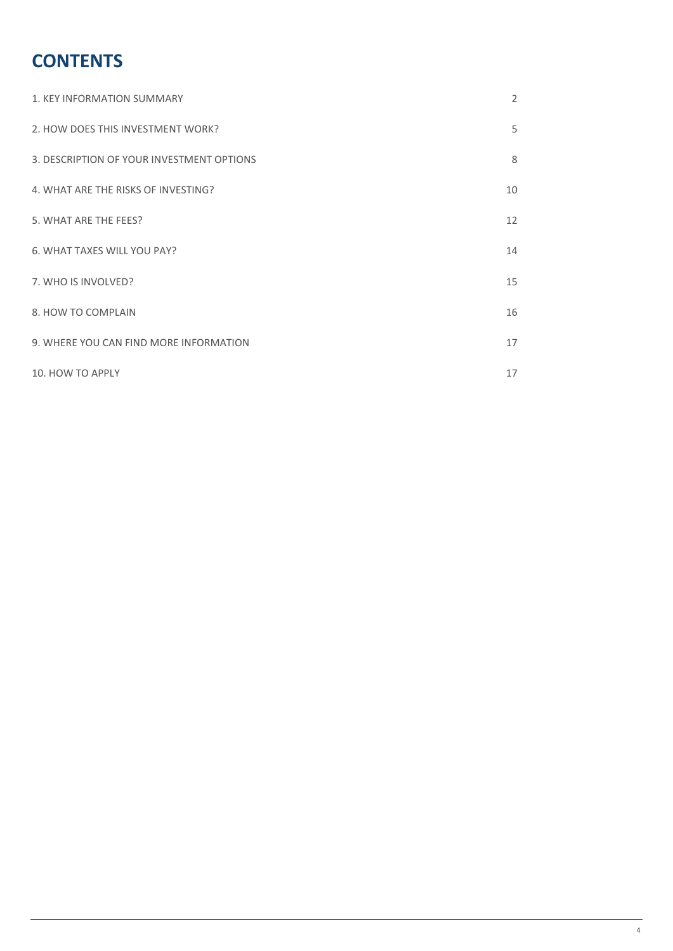# **CONTENTS**

| 1. KEY INFORMATION SUMMARY                | 2  |
|-------------------------------------------|----|
| 2. HOW DOES THIS INVESTMENT WORK?         | 5  |
| 3. DESCRIPTION OF YOUR INVESTMENT OPTIONS | 8  |
| 4. WHAT ARE THE RISKS OF INVESTING?       | 10 |
| 5. WHAT ARE THE FEES?                     | 12 |
| 6. WHAT TAXES WILL YOU PAY?               | 14 |
| 7. WHO IS INVOLVED?                       | 15 |
| 8. HOW TO COMPLAIN                        | 16 |
| 9. WHERE YOU CAN FIND MORE INFORMATION    | 17 |
| 10. HOW TO APPLY                          | 17 |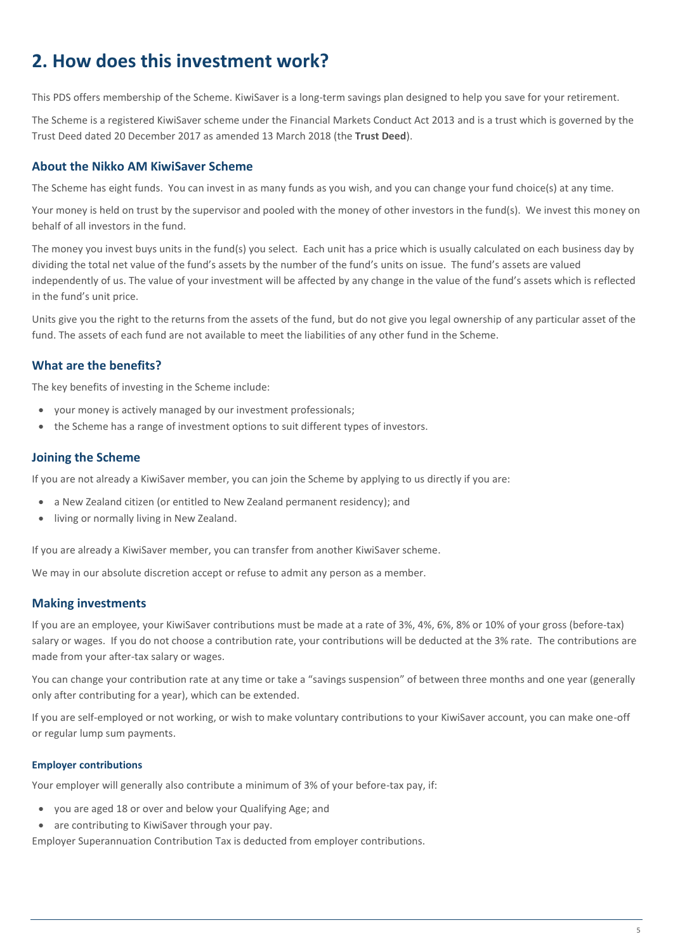# <span id="page-4-0"></span>**2. How does this investment work?**

This PDS offers membership of the Scheme. KiwiSaver is a long-term savings plan designed to help you save for your retirement.

The Scheme is a registered KiwiSaver scheme under the Financial Markets Conduct Act 2013 and is a trust which is governed by the Trust Deed dated 20 December 2017 as amended 13 March 2018 (the **Trust Deed**).

#### **About the Nikko AM KiwiSaver Scheme**

The Scheme has eight funds. You can invest in as many funds as you wish, and you can change your fund choice(s) at any time.

Your money is held on trust by the supervisor and pooled with the money of other investors in the fund(s). We invest this money on behalf of all investors in the fund.

The money you invest buys units in the fund(s) you select. Each unit has a price which is usually calculated on each business day by dividing the total net value of the fund's assets by the number of the fund's units on issue. The fund's assets are valued independently of us. The value of your investment will be affected by any change in the value of the fund's assets which is reflected in the fund's unit price.

Units give you the right to the returns from the assets of the fund, but do not give you legal ownership of any particular asset of the fund. The assets of each fund are not available to meet the liabilities of any other fund in the Scheme.

### **What are the benefits?**

The key benefits of investing in the Scheme include:

- your money is actively managed by our investment professionals;
- the Scheme has a range of investment options to suit different types of investors.

#### **Joining the Scheme**

If you are not already a KiwiSaver member, you can join the Scheme by applying to us directly if you are:

- a New Zealand citizen (or entitled to New Zealand permanent residency); and
- living or normally living in New Zealand.

If you are already a KiwiSaver member, you can transfer from another KiwiSaver scheme.

We may in our absolute discretion accept or refuse to admit any person as a member.

### **Making investments**

If you are an employee, your KiwiSaver contributions must be made at a rate of 3%, 4%, 6%, 8% or 10% of your gross (before-tax) salary or wages. If you do not choose a contribution rate, your contributions will be deducted at the 3% rate. The contributions are made from your after-tax salary or wages.

You can change your contribution rate at any time or take a "savings suspension" of between three months and one year (generally only after contributing for a year), which can be extended.

If you are self-employed or not working, or wish to make voluntary contributions to your KiwiSaver account, you can make one-off or regular lump sum payments.

#### **Employer contributions**

Your employer will generally also contribute a minimum of 3% of your before-tax pay, if:

- you are aged 18 or over and below your Qualifying Age; and
- are contributing to KiwiSaver through your pay.

Employer Superannuation Contribution Tax is deducted from employer contributions.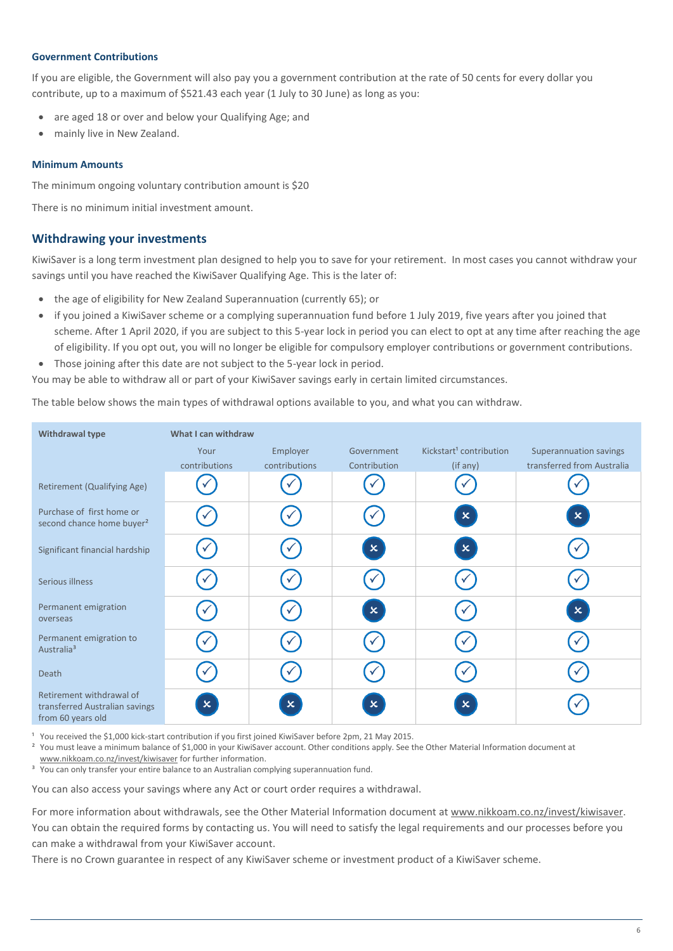#### **Government Contributions**

If you are eligible, the Government will also pay you a government contribution at the rate of 50 cents for every dollar you contribute, up to a maximum of \$521.43 each year (1 July to 30 June) as long as you:

- are aged 18 or over and below your Qualifying Age; and
- mainly live in New Zealand.

#### **Minimum Amounts**

The minimum ongoing voluntary contribution amount is \$20

There is no minimum initial investment amount.

#### **Withdrawing your investments**

KiwiSaver is a long term investment plan designed to help you to save for your retirement. In most cases you cannot withdraw your savings until you have reached the KiwiSaver Qualifying Age. This is the later of:

- the age of eligibility for New Zealand Superannuation (currently 65); or
- if you joined a KiwiSaver scheme or a complying superannuation fund before 1 July 2019, five years after you joined that scheme. After 1 April 2020, if you are subject to this 5-year lock in period you can elect to opt at any time after reaching the age of eligibility. If you opt out, you will no longer be eligible for compulsory employer contributions or government contributions.
- Those joining after this date are not subject to the 5-year lock in period.

You may be able to withdraw all or part of your KiwiSaver savings early in certain limited circumstances.

The table below shows the main types of withdrawal options available to you, and what you can withdraw.

| <b>Withdrawal type</b>                                                          | What I can withdraw       |               |              |                                     |                            |
|---------------------------------------------------------------------------------|---------------------------|---------------|--------------|-------------------------------------|----------------------------|
|                                                                                 | Your                      | Employer      | Government   | Kickstart <sup>1</sup> contribution | Superannuation savings     |
|                                                                                 | contributions             | contributions | Contribution | (if any)                            | transferred from Australia |
| Retirement (Qualifying Age)                                                     |                           |               |              |                                     |                            |
| Purchase of first home or<br>second chance home buyer <sup>2</sup>              |                           |               |              | $\mathbf{x}$                        | $\mathsf{x}$               |
| Significant financial hardship                                                  |                           |               | $\mathbf{x}$ | $\mathbf{x}$                        |                            |
| Serious illness                                                                 |                           |               |              |                                     |                            |
| Permanent emigration<br>overseas                                                |                           |               | $\mathbf{x}$ |                                     | $\mathbf{x}$               |
| Permanent emigration to<br>Australia <sup>3</sup>                               |                           |               |              |                                     |                            |
| Death                                                                           | $\checkmark$              |               |              |                                     |                            |
| Retirement withdrawal of<br>transferred Australian savings<br>from 60 years old | $\boldsymbol{\mathsf{x}}$ | $\mathsf{x}$  | $\mathbf{x}$ | $\mathsf{x}$                        |                            |

You received the \$1,000 kick-start contribution if you first joined KiwiSaver before 2pm, 21 May 2015.

<sup>2</sup> You must leave a minimum balance of \$1,000 in your KiwiSaver account. Other conditions apply. See the Other Material Information document at

[www.nikkoam.co.nz/invest/kiwisaver](http://www.nikkoam.co.nz/invest/kiwisaver) for further information.

<sup>3</sup> You can only transfer your entire balance to an Australian complying superannuation fund.

You can also access your savings where any Act or court order requires a withdrawal.

For more information about withdrawals, see the Other Material Information document at www.nikkoam.co.nz/invest/kiwisaver. You can obtain the required forms by contacting us. You will need to satisfy the legal requirements and our processes before you can make a withdrawal from your KiwiSaver account.

There is no Crown guarantee in respect of any KiwiSaver scheme or investment product of a KiwiSaver scheme.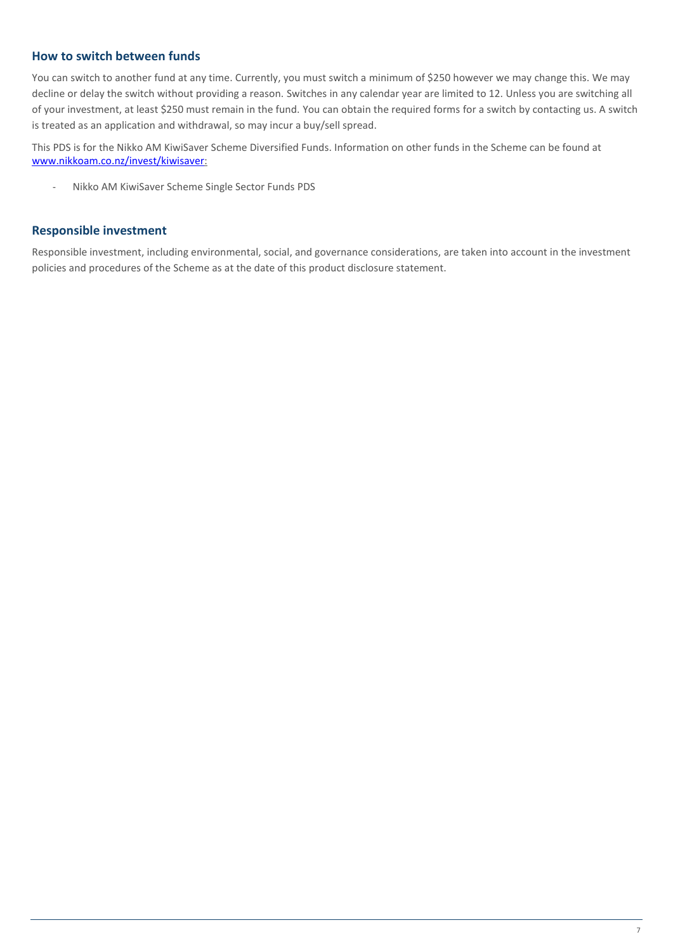#### **How to switch between funds**

You can switch to another fund at any time. Currently, you must switch a minimum of \$250 however we may change this. We may decline or delay the switch without providing a reason. Switches in any calendar year are limited to 12. Unless you are switching all of your investment, at least \$250 must remain in the fund. You can obtain the required forms for a switch by contacting us. A switch is treated as an application and withdrawal, so may incur a buy/sell spread.

This PDS is for the Nikko AM KiwiSaver Scheme Diversified Funds. Information on other funds in the Scheme can be found at www.nikkoam.co.nz/invest/kiwisaver:

- Nikko AM KiwiSaver Scheme Single Sector Funds PDS

#### **Responsible investment**

Responsible investment, including environmental, social, and governance considerations, are taken into account in the investment policies and procedures of the Scheme as at the date of this product disclosure statement.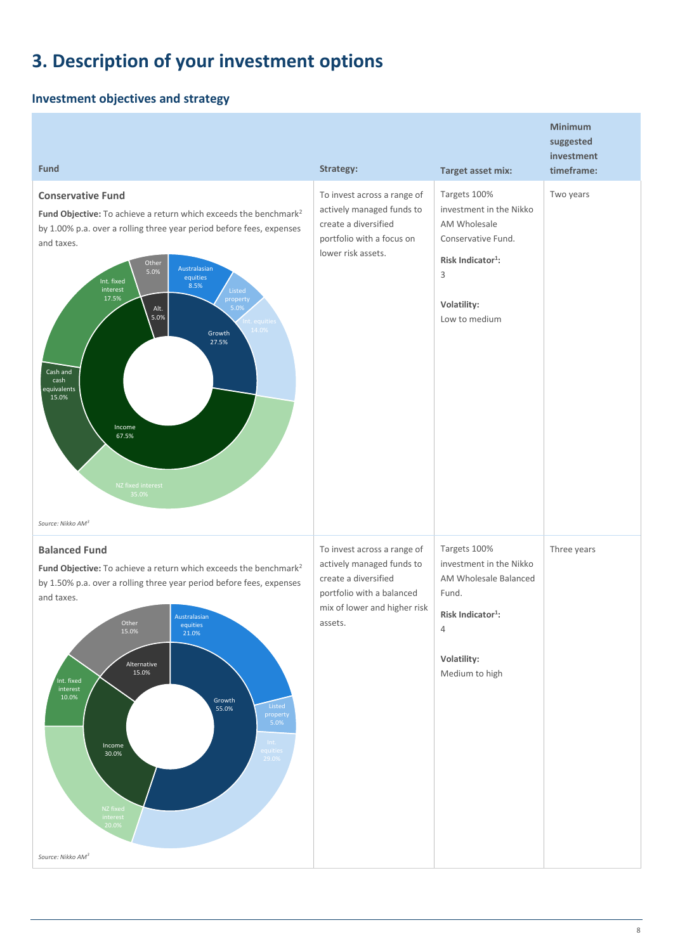# <span id="page-7-0"></span>**3. Description of your investment options**

## **Investment objectives and strategy**

| <b>Fund</b>                                                                                                                                                                                                                                                                                                                                                                                                                                                                                                     | Strategy:                                                                                                                                                | <b>Target asset mix:</b>                                                                                                                            | <b>Minimum</b><br>suggested<br>investment<br>timeframe: |
|-----------------------------------------------------------------------------------------------------------------------------------------------------------------------------------------------------------------------------------------------------------------------------------------------------------------------------------------------------------------------------------------------------------------------------------------------------------------------------------------------------------------|----------------------------------------------------------------------------------------------------------------------------------------------------------|-----------------------------------------------------------------------------------------------------------------------------------------------------|---------------------------------------------------------|
| <b>Conservative Fund</b><br>Fund Objective: To achieve a return which exceeds the benchmark <sup>2</sup><br>by 1.00% p.a. over a rolling three year period before fees, expenses<br>and taxes.<br>Other<br>Australasian<br>5.0%<br>equities<br>Int. fixed<br>8.5%<br>interest<br>Listed<br>17.5%<br>property<br>5.0%<br>Alt.<br>5.0%<br>Int. equities<br>14.0%<br>Growth<br>27.5%<br>Cash and<br>cash<br>equivalents<br>15.0%<br>Income<br>67.5%<br>NZ fixed interest<br>35.0%<br>Source: Nikko AM <sup>3</sup> | To invest across a range of<br>actively managed funds to<br>create a diversified<br>portfolio with a focus on<br>lower risk assets.                      | Targets 100%<br>investment in the Nikko<br>AM Wholesale<br>Conservative Fund.<br>Risk Indicator <sup>1</sup> :<br>3<br>Volatility:<br>Low to medium | Two years                                               |
| <b>Balanced Fund</b><br>Fund Objective: To achieve a return which exceeds the benchmark <sup>2</sup><br>by 1.50% p.a. over a rolling three year period before fees, expenses<br>and taxes.<br>Australasian<br>Other<br>equities<br>15.0%<br>21.0%<br>Alternative<br>15.0%<br>Int. fixed<br>interest<br>10.0%<br>Growth<br>Listed<br>55.0%<br>property<br>5.0%<br>Int.<br>Income<br><u>equities</u><br>30.0%<br>29.0%<br>NZ fixed<br>interest<br>20.0%<br>Source: Nikko AM <sup>3</sup>                          | To invest across a range of<br>actively managed funds to<br>create a diversified<br>portfolio with a balanced<br>mix of lower and higher risk<br>assets. | Targets 100%<br>investment in the Nikko<br>AM Wholesale Balanced<br>Fund.<br>Risk Indicator <sup>1</sup> :<br>4<br>Volatility:<br>Medium to high    | Three years                                             |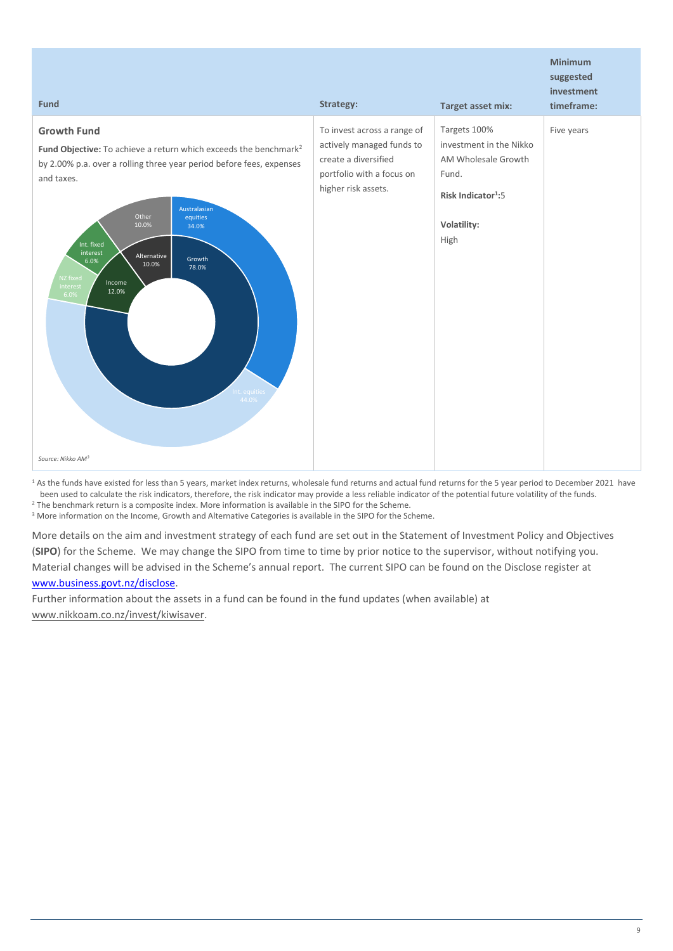| <b>Fund</b>                                                                                                                                                                                                                                                                                                                                                                                               | Strategy:                                                                                                                            | <b>Target asset mix:</b>                                                                                                         | <b>Minimum</b><br>suggested<br>investment<br>timeframe: |
|-----------------------------------------------------------------------------------------------------------------------------------------------------------------------------------------------------------------------------------------------------------------------------------------------------------------------------------------------------------------------------------------------------------|--------------------------------------------------------------------------------------------------------------------------------------|----------------------------------------------------------------------------------------------------------------------------------|---------------------------------------------------------|
| <b>Growth Fund</b><br>Fund Objective: To achieve a return which exceeds the benchmark <sup>2</sup><br>by 2.00% p.a. over a rolling three year period before fees, expenses<br>and taxes.<br>Australasian<br>Other<br>equities<br>10.0%<br>34.0%<br>Int. fixed<br>interest<br>Alternative<br>Growth<br>6.0%<br>10.0%<br>78.0%<br>NZ fixed<br>Income<br>interest<br>12.0%<br>6.0%<br>Int. equities<br>44.0% | To invest across a range of<br>actively managed funds to<br>create a diversified<br>portfolio with a focus on<br>higher risk assets. | Targets 100%<br>investment in the Nikko<br>AM Wholesale Growth<br>Fund.<br>Risk Indicator <sup>1</sup> :5<br>Volatility:<br>High | Five years                                              |
| Source: Nikko AM <sup>3</sup>                                                                                                                                                                                                                                                                                                                                                                             |                                                                                                                                      |                                                                                                                                  |                                                         |

<sup>1</sup> As the funds have existed for less than 5 years, market index returns, wholesale fund returns and actual fund returns for the 5 year period to December 2021 have been used to calculate the risk indicators, therefore, the risk indicator may provide a less reliable indicator of the potential future volatility of the funds.

<sup>2</sup> The benchmark return is a composite index. More information is available in the SIPO for the Scheme.

<sup>3</sup> More information on the Income, Growth and Alternative Categories is available in the SIPO for the Scheme.

More details on the aim and investment strategy of each fund are set out in the Statement of Investment Policy and Objectives (**SIPO**) for the Scheme. We may change the SIPO from time to time by prior notice to the supervisor, without notifying you. Material changes will be advised in the Scheme's annual report. The current SIPO can be found on the Disclose register at

#### [www.business.govt.nz/disclose.](http://www.business.govt.nz/disclose)

Further information about the assets in a fund can be found in the fund updates (when available) at [www.nikkoam.co.nz/invest/kiwisaver.](http://www.nikkoam.co.nz/invest/kiwisaver)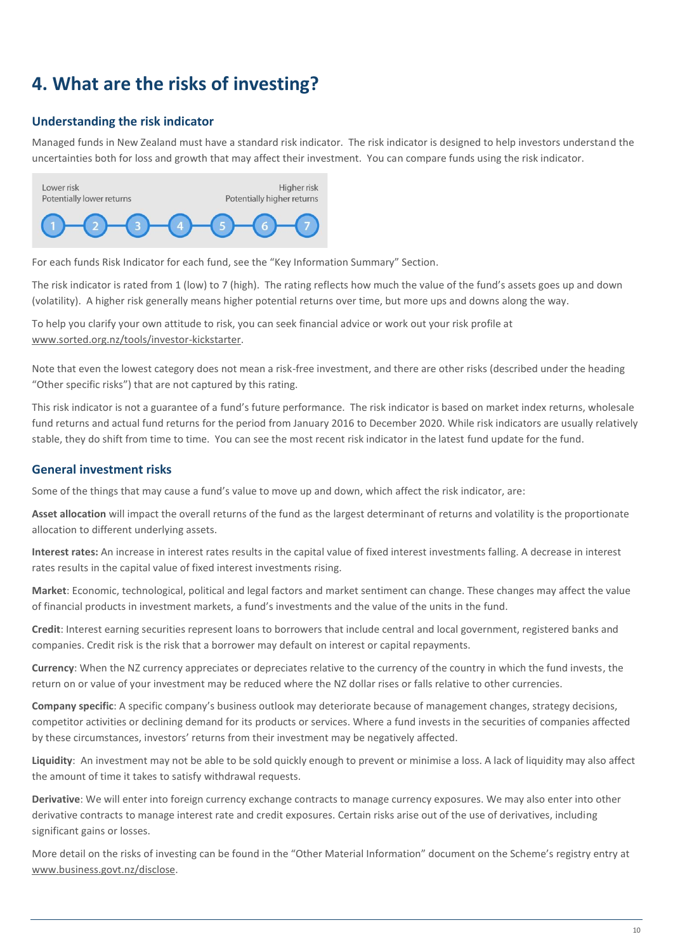# <span id="page-9-0"></span>**4. What are the risks of investing?**

### **Understanding the risk indicator**

Managed funds in New Zealand must have a standard risk indicator. The risk indicator is designed to help investors understand the uncertainties both for loss and growth that may affect their investment. You can compare funds using the risk indicator.



For each funds Risk Indicator for each fund, see the "Key Information Summary" Section.

The risk indicator is rated from 1 (low) to 7 (high). The rating reflects how much the value of the fund's assets goes up and down (volatility). A higher risk generally means higher potential returns over time, but more ups and downs along the way.

To help you clarify your own attitude to risk, you can seek financial advice or work out your risk profile at [www.sorted.org.nz/tools/investor-kickstarter.](http://www.sorted.org.nz/tools/investor-kickstarter)

Note that even the lowest category does not mean a risk-free investment, and there are other risks (described under the heading "Other specific risks") that are not captured by this rating.

This risk indicator is not a guarantee of a fund's future performance. The risk indicator is based on market index returns, wholesale fund returns and actual fund returns for the period from January 2016 to December 2020. While risk indicators are usually relatively stable, they do shift from time to time. You can see the most recent risk indicator in the latest fund update for the fund.

### **General investment risks**

Some of the things that may cause a fund's value to move up and down, which affect the risk indicator, are:

**Asset allocation** will impact the overall returns of the fund as the largest determinant of returns and volatility is the proportionate allocation to different underlying assets.

**Interest rates:** An increase in interest rates results in the capital value of fixed interest investments falling. A decrease in interest rates results in the capital value of fixed interest investments rising.

**Market**: Economic, technological, political and legal factors and market sentiment can change. These changes may affect the value of financial products in investment markets, a fund's investments and the value of the units in the fund.

**Credit**: Interest earning securities represent loans to borrowers that include central and local government, registered banks and companies. Credit risk is the risk that a borrower may default on interest or capital repayments.

**Currency**: When the NZ currency appreciates or depreciates relative to the currency of the country in which the fund invests, the return on or value of your investment may be reduced where the NZ dollar rises or falls relative to other currencies.

**Company specific**: A specific company's business outlook may deteriorate because of management changes, strategy decisions, competitor activities or declining demand for its products or services. Where a fund invests in the securities of companies affected by these circumstances, investors' returns from their investment may be negatively affected.

**Liquidity**: An investment may not be able to be sold quickly enough to prevent or minimise a loss. A lack of liquidity may also affect the amount of time it takes to satisfy withdrawal requests.

**Derivative**: We will enter into foreign currency exchange contracts to manage currency exposures. We may also enter into other derivative contracts to manage interest rate and credit exposures. Certain risks arise out of the use of derivatives, including significant gains or losses.

More detail on the risks of investing can be found in the "Other Material Information" document on the Scheme's registry entry at [www.business.govt.nz/disclose.](http://www.business.govt.nz/disclose)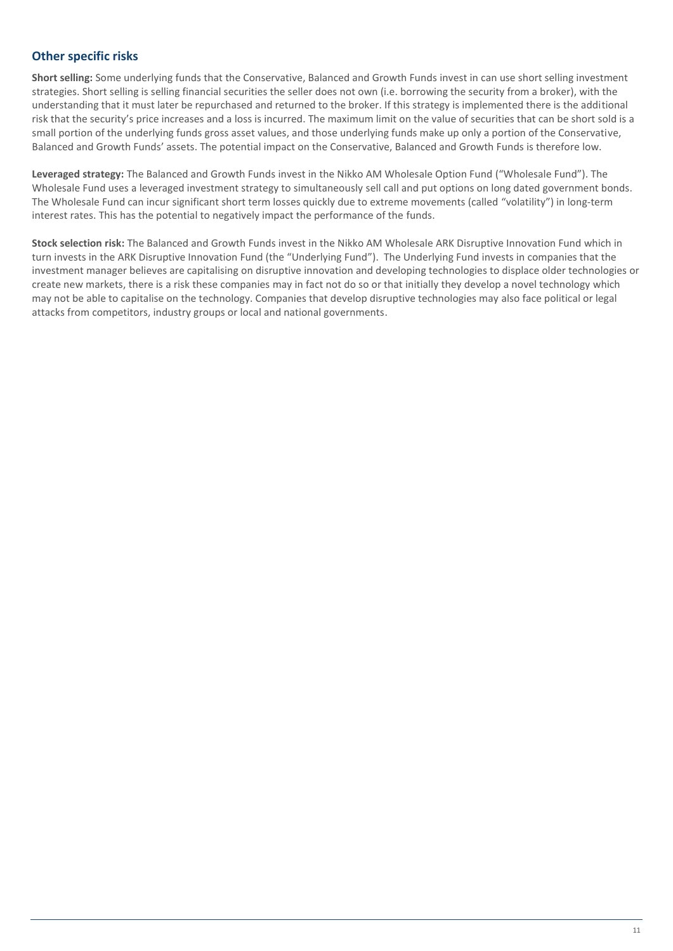### **Other specific risks**

**Short selling:** Some underlying funds that the Conservative, Balanced and Growth Funds invest in can use short selling investment strategies. Short selling is selling financial securities the seller does not own (i.e. borrowing the security from a broker), with the understanding that it must later be repurchased and returned to the broker. If this strategy is implemented there is the additional risk that the security's price increases and a loss is incurred. The maximum limit on the value of securities that can be short sold is a small portion of the underlying funds gross asset values, and those underlying funds make up only a portion of the Conservative, Balanced and Growth Funds' assets. The potential impact on the Conservative, Balanced and Growth Funds is therefore low.

**Leveraged strategy:** The Balanced and Growth Funds invest in the Nikko AM Wholesale Option Fund ("Wholesale Fund"). The Wholesale Fund uses a leveraged investment strategy to simultaneously sell call and put options on long dated government bonds. The Wholesale Fund can incur significant short term losses quickly due to extreme movements (called "volatility") in long-term interest rates. This has the potential to negatively impact the performance of the funds.

**Stock selection risk:** The Balanced and Growth Funds invest in the Nikko AM Wholesale ARK Disruptive Innovation Fund which in turn invests in the ARK Disruptive Innovation Fund (the "Underlying Fund"). The Underlying Fund invests in companies that the investment manager believes are capitalising on disruptive innovation and developing technologies to displace older technologies or create new markets, there is a risk these companies may in fact not do so or that initially they develop a novel technology which may not be able to capitalise on the technology. Companies that develop disruptive technologies may also face political or legal attacks from competitors, industry groups or local and national governments.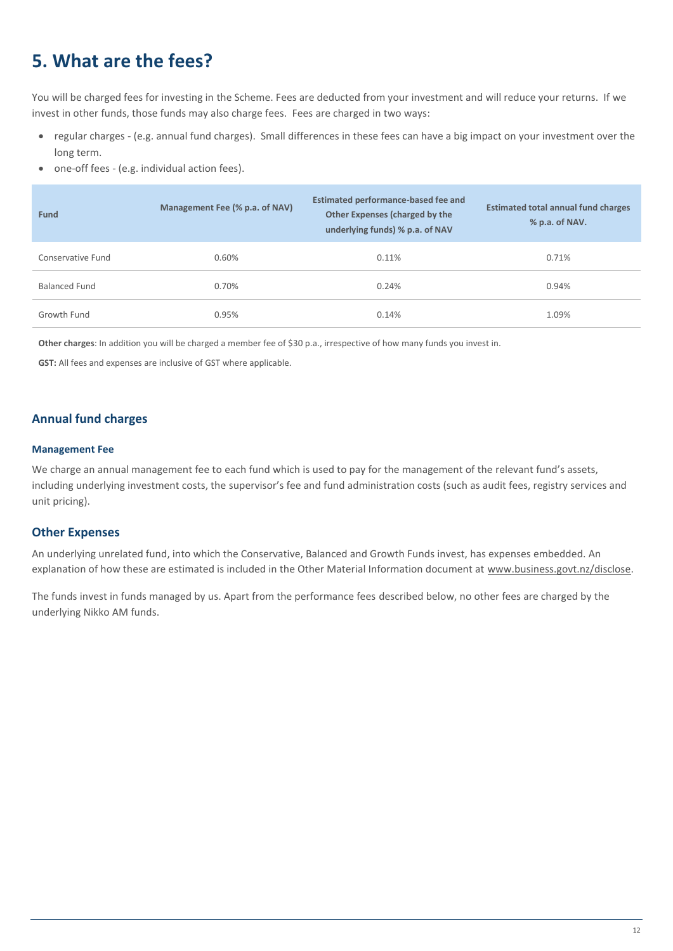# <span id="page-11-0"></span>**5. What are the fees?**

You will be charged fees for investing in the Scheme. Fees are deducted from your investment and will reduce your returns. If we invest in other funds, those funds may also charge fees. Fees are charged in two ways:

- regular charges (e.g. annual fund charges). Small differences in these fees can have a big impact on your investment over the long term.
- one-off fees (e.g. individual action fees).

| <b>Fund</b>          | Management Fee (% p.a. of NAV) | <b>Estimated performance-based fee and</b><br>Other Expenses (charged by the<br>underlying funds) % p.a. of NAV | <b>Estimated total annual fund charges</b><br>% p.a. of NAV. |
|----------------------|--------------------------------|-----------------------------------------------------------------------------------------------------------------|--------------------------------------------------------------|
| Conservative Fund    | 0.60%                          | 0.11%                                                                                                           | 0.71%                                                        |
| <b>Balanced Fund</b> | 0.70%                          | 0.24%                                                                                                           | 0.94%                                                        |
| Growth Fund          | 0.95%                          | 0.14%                                                                                                           | 1.09%                                                        |

**Other charges**: In addition you will be charged a member fee of \$30 p.a., irrespective of how many funds you invest in.

**GST:** All fees and expenses are inclusive of GST where applicable.

#### **Annual fund charges**

#### **Management Fee**

We charge an annual management fee to each fund which is used to pay for the management of the relevant fund's assets, including underlying investment costs, the supervisor's fee and fund administration costs (such as audit fees, registry services and unit pricing).

#### **Other Expenses**

An underlying unrelated fund, into which the Conservative, Balanced and Growth Funds invest, has expenses embedded. An explanation of how these are estimated is included in the Other Material Information document at [www.business.govt.nz/disclose.](http://www.business.govt.nz/disclose)

The funds invest in funds managed by us. Apart from the performance fees described below, no other fees are charged by the underlying Nikko AM funds.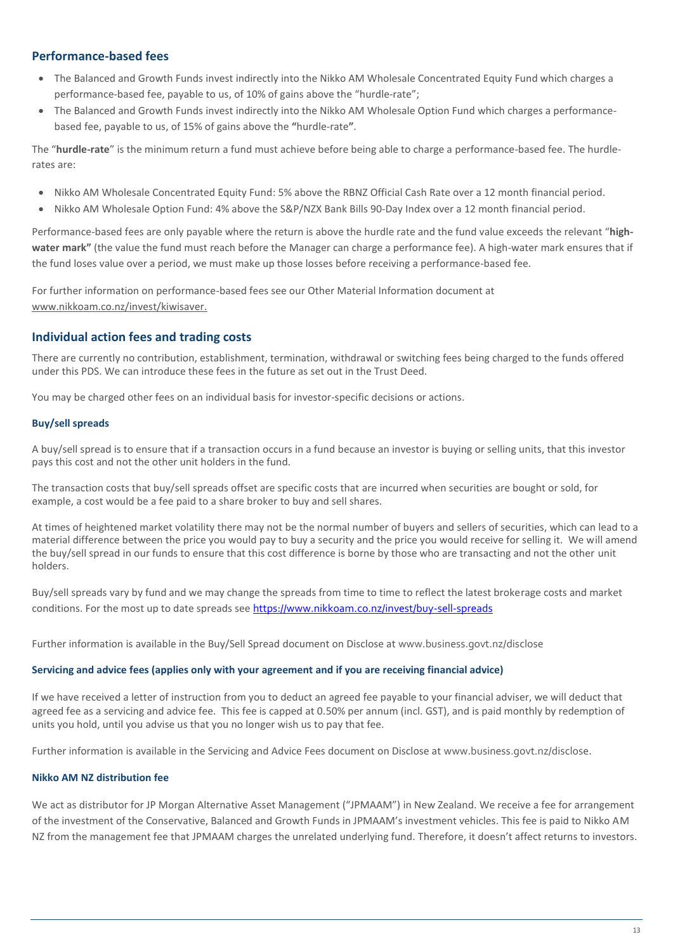### **Performance-based fees**

- The Balanced and Growth Funds invest indirectly into the Nikko AM Wholesale Concentrated Equity Fund which charges a performance-based fee, payable to us, of 10% of gains above the "hurdle-rate";
- The Balanced and Growth Funds invest indirectly into the Nikko AM Wholesale Option Fund which charges a performancebased fee, payable to us, of 15% of gains above the **"**hurdle-rate**"**.

The "**hurdle-rate**" is the minimum return a fund must achieve before being able to charge a performance-based fee. The hurdlerates are:

- Nikko AM Wholesale Concentrated Equity Fund: 5% above the RBNZ Official Cash Rate over a 12 month financial period.
- Nikko AM Wholesale Option Fund: 4% above the S&P/NZX Bank Bills 90-Day Index over a 12 month financial period.

Performance-based fees are only payable where the return is above the hurdle rate and the fund value exceeds the relevant "**highwater mark"** (the value the fund must reach before the Manager can charge a performance fee). A high-water mark ensures that if the fund loses value over a period, we must make up those losses before receiving a performance-based fee.

For further information on performance-based fees see our Other Material Information document at www.nikkoam.co.nz/invest/kiwisaver.

### **Individual action fees and trading costs**

There are currently no contribution, establishment, termination, withdrawal or switching fees being charged to the funds offered under this PDS. We can introduce these fees in the future as set out in the Trust Deed.

You may be charged other fees on an individual basis for investor-specific decisions or actions.

#### **Buy/sell spreads**

A buy/sell spread is to ensure that if a transaction occurs in a fund because an investor is buying or selling units, that this investor pays this cost and not the other unit holders in the fund.

The transaction costs that buy/sell spreads offset are specific costs that are incurred when securities are bought or sold, for example, a cost would be a fee paid to a share broker to buy and sell shares.

At times of heightened market volatility there may not be the normal number of buyers and sellers of securities, which can lead to a material difference between the price you would pay to buy a security and the price you would receive for selling it. We will amend the buy/sell spread in our funds to ensure that this cost difference is borne by those who are transacting and not the other unit holders.

Buy/sell spreads vary by fund and we may change the spreads from time to time to reflect the latest brokerage costs and market conditions. For the most up to date spreads see <https://www.nikkoam.co.nz/invest/buy-sell-spreads>

Further information is available in the Buy/Sell Spread document on Disclose at [www.business.govt.nz/disclose](http://www.business.govt.nz/disclose)

#### **Servicing and advice fees (applies only with your agreement and if you are receiving financial advice)**

If we have received a letter of instruction from you to deduct an agreed fee payable to your financial adviser, we will deduct that agreed fee as a servicing and advice fee. This fee is capped at 0.50% per annum (incl. GST), and is paid monthly by redemption of units you hold, until you advise us that you no longer wish us to pay that fee.

Further information is available in the Servicing and Advice Fees document on Disclose at [www.business.govt.nz/disclose](http://www.business.govt.nz/disclose).

#### **Nikko AM NZ distribution fee**

We act as distributor for JP Morgan Alternative Asset Management ("JPMAAM") in New Zealand. We receive a fee for arrangement of the investment of the Conservative, Balanced and Growth Funds in JPMAAM's investment vehicles. This fee is paid to Nikko AM NZ from the management fee that JPMAAM charges the unrelated underlying fund. Therefore, it doesn't affect returns to investors.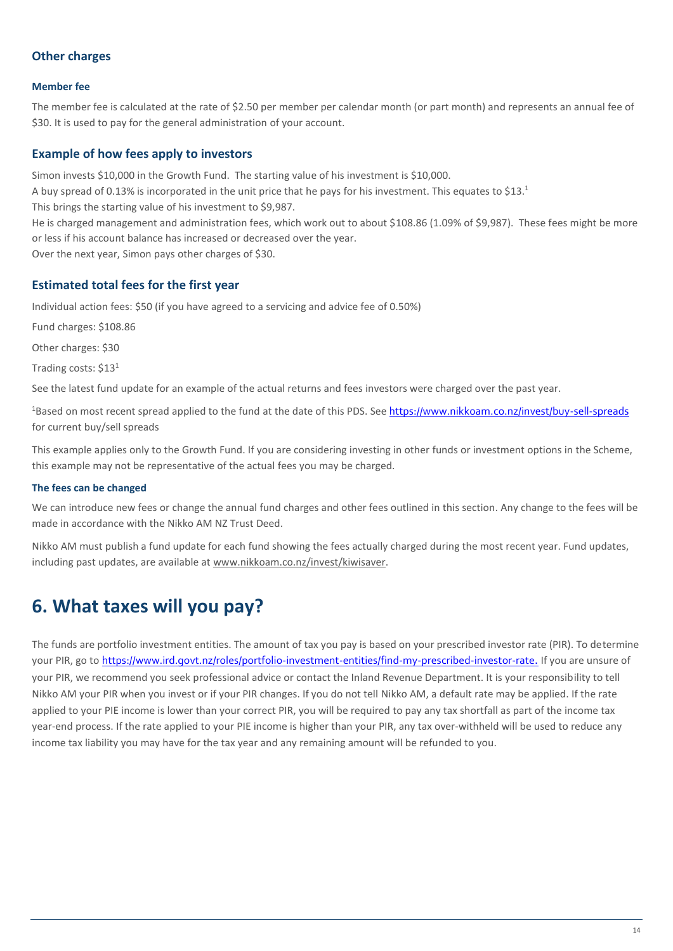### **Other charges**

#### **Member fee**

The member fee is calculated at the rate of \$2.50 per member per calendar month (or part month) and represents an annual fee of \$30. It is used to pay for the general administration of your account.

#### **Example of how fees apply to investors**

Simon invests \$10,000 in the Growth Fund. The starting value of his investment is \$10,000.

A buy spread of 0.13% is incorporated in the unit price that he pays for his investment. This equates to \$13.1

This brings the starting value of his investment to \$9,987.

He is charged management and administration fees, which work out to about \$108.86 (1.09% of \$9,987). These fees might be more or less if his account balance has increased or decreased over the year.

Over the next year, Simon pays other charges of \$30.

### **Estimated total fees for the first year**

Individual action fees: \$50 (if you have agreed to a servicing and advice fee of 0.50%)

Fund charges: \$108.86

Other charges: \$30

Trading costs: \$13<sup>1</sup>

See the latest fund update for an example of the actual returns and fees investors were charged over the past year.

<sup>1</sup>Based on most recent spread applied to the fund at the date of this PDS. See <https://www.nikkoam.co.nz/invest/buy-sell-spreads> for current buy/sell spreads

This example applies only to the Growth Fund. If you are considering investing in other funds or investment options in the Scheme, this example may not be representative of the actual fees you may be charged.

#### **The fees can be changed**

We can introduce new fees or change the annual fund charges and other fees outlined in this section. Any change to the fees will be made in accordance with the Nikko AM NZ Trust Deed.

Nikko AM must publish a fund update for each fund showing the fees actually charged during the most recent year. Fund updates, including past updates, are available a[t www.nikkoam.co.nz/invest/kiwisaver.](http://www.nikkoam.co.nz/invest/kiwisaver)

# <span id="page-13-0"></span>**6. What taxes will you pay?**

The funds are portfolio investment entities. The amount of tax you pay is based on your prescribed investor rate (PIR). To determine your PIR, go to <https://www.ird.govt.nz/roles/portfolio-investment-entities/find-my-prescribed-investor-rate>. If you are unsure of your PIR, we recommend you seek professional advice or contact the Inland Revenue Department. It is your responsibility to tell Nikko AM your PIR when you invest or if your PIR changes. If you do not tell Nikko AM, a default rate may be applied. If the rate applied to your PIE income is lower than your correct PIR, you will be required to pay any tax shortfall as part of the income tax year-end process. If the rate applied to your PIE income is higher than your PIR, any tax over-withheld will be used to reduce any income tax liability you may have for the tax year and any remaining amount will be refunded to you.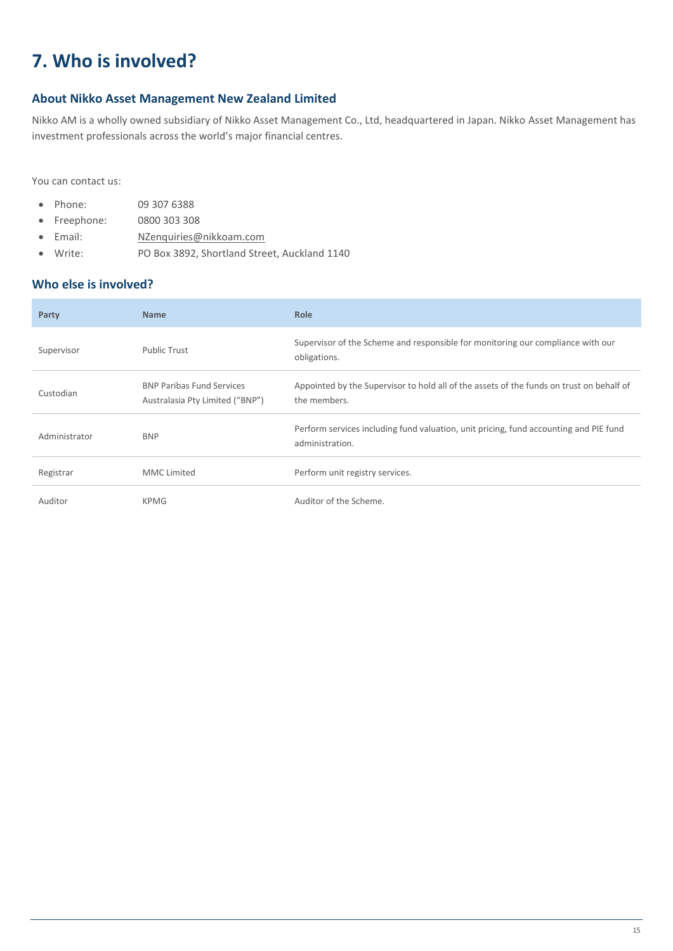# <span id="page-14-0"></span>**7. Who is involved?**

### **About Nikko Asset Management New Zealand Limited**

Nikko AM is a wholly owned subsidiary of Nikko Asset Management Co., Ltd, headquartered in Japan. Nikko Asset Management has investment professionals across the world's major financial centres.

You can contact us:

- Phone: 09 307 6388
- Freephone: 0800 303 308
- Email: [NZenquiries@nikkoam.com](mailto:NZenquiries@nikkoam.com)
- Write: PO Box 3892, Shortland Street, Auckland 1140

### **Who else is involved?**

| Party         | <b>Name</b>                                                         | <b>Role</b>                                                                                              |
|---------------|---------------------------------------------------------------------|----------------------------------------------------------------------------------------------------------|
| Supervisor    | <b>Public Trust</b>                                                 | Supervisor of the Scheme and responsible for monitoring our compliance with our<br>obligations.          |
| Custodian     | <b>BNP Paribas Fund Services</b><br>Australasia Pty Limited ("BNP") | Appointed by the Supervisor to hold all of the assets of the funds on trust on behalf of<br>the members. |
| Administrator | <b>BNP</b>                                                          | Perform services including fund valuation, unit pricing, fund accounting and PIE fund<br>administration. |
| Registrar     | <b>MMC</b> Limited                                                  | Perform unit registry services.                                                                          |
| Auditor       | KPMG                                                                | Auditor of the Scheme.                                                                                   |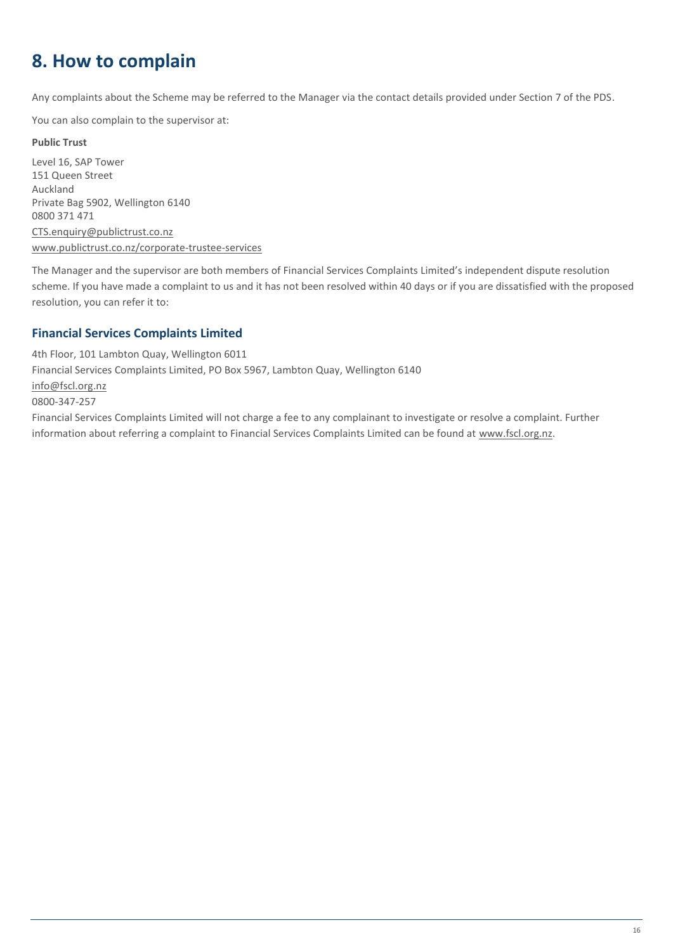# <span id="page-15-0"></span>**8. How to complain**

Any complaints about the Scheme may be referred to the Manager via the contact details provided under Section 7 of the PDS.

You can also complain to the supervisor at:

#### **Public Trust**

Level 16, SAP Tower 151 Queen Street Auckland Private Bag 5902, Wellington 6140 0800 371 471 [CTS.enquiry@publictrust.co.nz](mailto:CTS.enquiry@publictrust.co.nz) [www.publictrust.co.nz/corporate-trustee-services](http://www.publictrust.co.nz/corporate-trustee-services)

The Manager and the supervisor are both members of Financial Services Complaints Limited's independent dispute resolution scheme. If you have made a complaint to us and it has not been resolved within 40 days or if you are dissatisfied with the proposed resolution, you can refer it to:

information about referring a complaint to Financial Services Complaints Limited can be found a[t www.fscl.org.nz.](http://www.fscl.org.nz/)

### **Financial Services Complaints Limited**

4th Floor, 101 Lambton Quay, Wellington 6011 Financial Services Complaints Limited, PO Box 5967, Lambton Quay, Wellington 6140 [info@fscl.org.nz](mailto:info@fscl.org.nz) 0800-347-257 Financial Services Complaints Limited will not charge a fee to any complainant to investigate or resolve a complaint. Further